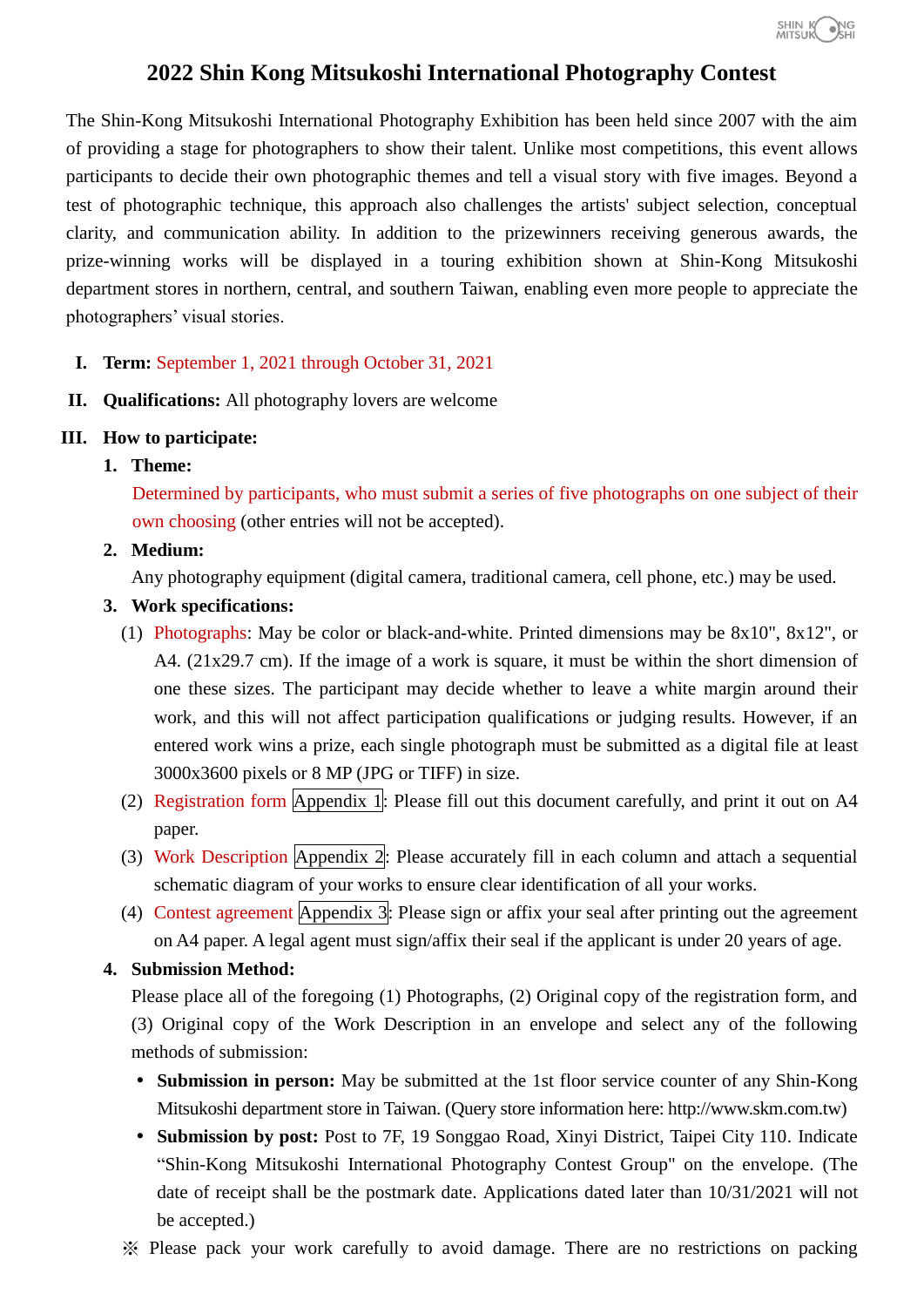

# **2022 Shin Kong Mitsukoshi International Photography Contest**

The Shin-Kong Mitsukoshi International Photography Exhibition has been held since 2007 with the aim of providing a stage for photographers to show their talent. Unlike most competitions, this event allows participants to decide their own photographic themes and tell a visual story with five images. Beyond a test of photographic technique, this approach also challenges the artists' subject selection, conceptual clarity, and communication ability. In addition to the prizewinners receiving generous awards, the prize-winning works will be displayed in a touring exhibition shown at Shin-Kong Mitsukoshi department stores in northern, central, and southern Taiwan, enabling even more people to appreciate the photographers' visual stories.

- **I. Term:** September 1, 2021 through October 31, 2021
- **II. Qualifications:** All photography lovers are welcome

#### **III. How to participate:**

**1. Theme:**

Determined by participants, who must submit a series of five photographs on one subject of their own choosing (other entries will not be accepted).

**2. Medium:**

Any photography equipment (digital camera, traditional camera, cell phone, etc.) may be used.

- **3. Work specifications:**
	- (1) Photographs: May be color or black-and-white. Printed dimensions may be 8x10", 8x12", or A4. (21x29.7 cm). If the image of a work is square, it must be within the short dimension of one these sizes. The participant may decide whether to leave a white margin around their work, and this will not affect participation qualifications or judging results. However, if an entered work wins a prize, each single photograph must be submitted as a digital file at least 3000x3600 pixels or 8 MP (JPG or TIFF) in size.
	- (2) Registration form Appendix 1: Please fill out this document carefully, and print it out on A4 paper.
	- (3) Work Description Appendix 2: Please accurately fill in each column and attach a sequential schematic diagram of your works to ensure clear identification of all your works.
	- (4) Contest agreement Appendix 3: Please sign or affix your seal after printing out the agreement on A4 paper. A legal agent must sign/affix their seal if the applicant is under 20 years of age.

#### **4. Submission Method:**

Please place all of the foregoing (1) Photographs, (2) Original copy of the registration form, and (3) Original copy of the Work Description in an envelope and select any of the following methods of submission:

- **Submission in person:** May be submitted at the 1st floor service counter of any Shin-Kong Mitsukoshi department store in Taiwan. (Query store information here: http://www.skm.com.tw)
- **Submission by post:** Post to 7F, 19 Songgao Road, Xinyi District, Taipei City 110. Indicate "Shin-Kong Mitsukoshi International Photography Contest Group" on the envelope. (The date of receipt shall be the postmark date. Applications dated later than 10/31/2021 will not be accepted.)
- ※ Please pack your work carefully to avoid damage. There are no restrictions on packing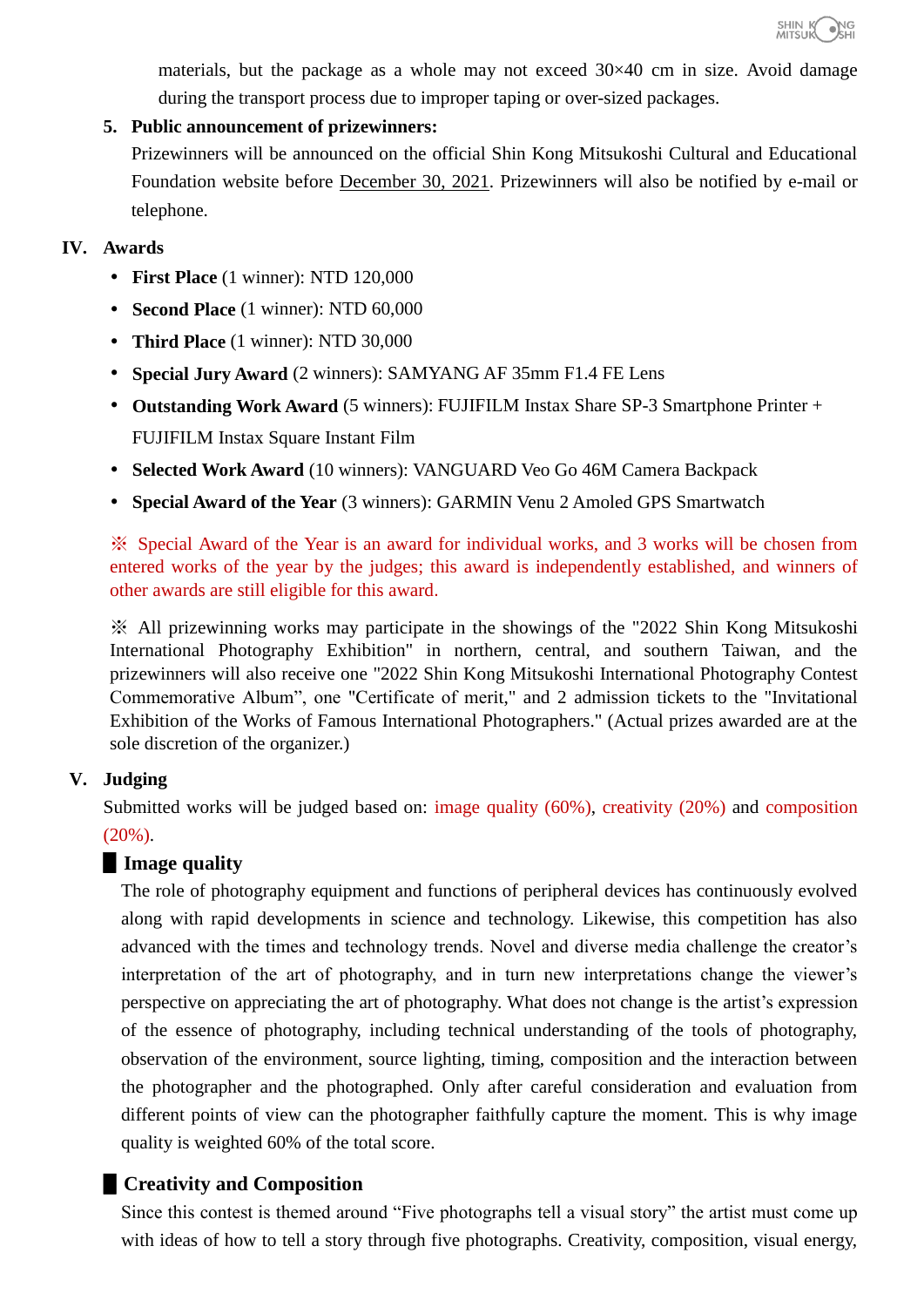

materials, but the package as a whole may not exceed 30×40 cm in size. Avoid damage during the transport process due to improper taping or over-sized packages.

#### **5. Public announcement of prizewinners:**

Prizewinners will be announced on the official Shin Kong Mitsukoshi Cultural and Educational Foundation website before December 30, 2021. Prizewinners will also be notified by e-mail or telephone.

#### **IV. Awards**

- **First Place** (1 winner): NTD 120,000
- **Second Place** (1 winner): NTD 60,000
- **Third Place** (1 winner): NTD 30,000
- **Special Jury Award** (2 winners): SAMYANG AF 35mm F1.4 FE Lens
- **Outstanding Work Award** (5 winners): FUJIFILM Instax Share SP-3 Smartphone Printer + FUJIFILM Instax Square Instant Film
- **Selected Work Award** (10 winners): VANGUARD Veo Go 46M Camera Backpack
- **Special Award of the Year** (3 winners): GARMIN Venu 2 Amoled GPS Smartwatch

※ Special Award of the Year is an award for individual works, and 3 works will be chosen from entered works of the year by the judges; this award is independently established, and winners of other awards are still eligible for this award.

※ All prizewinning works may participate in the showings of the "2022 Shin Kong Mitsukoshi International Photography Exhibition" in northern, central, and southern Taiwan, and the prizewinners will also receive one "2022 Shin Kong Mitsukoshi International Photography Contest Commemorative Album", one "Certificate of merit," and 2 admission tickets to the "Invitational Exhibition of the Works of Famous International Photographers." (Actual prizes awarded are at the sole discretion of the organizer.)

### **V. Judging**

Submitted works will be judged based on: image quality (60%), creativity (20%) and composition  $(20\%)$ .

### ▋**Image quality**

The role of photography equipment and functions of peripheral devices has continuously evolved along with rapid developments in science and technology. Likewise, this competition has also advanced with the times and technology trends. Novel and diverse media challenge the creator's interpretation of the art of photography, and in turn new interpretations change the viewer's perspective on appreciating the art of photography. What does not change is the artist's expression of the essence of photography, including technical understanding of the tools of photography, observation of the environment, source lighting, timing, composition and the interaction between the photographer and the photographed. Only after careful consideration and evaluation from different points of view can the photographer faithfully capture the moment. This is why image quality is weighted 60% of the total score.

## ▋**Creativity and Composition**

Since this contest is themed around "Five photographs tell a visual story" the artist must come up with ideas of how to tell a story through five photographs. Creativity, composition, visual energy,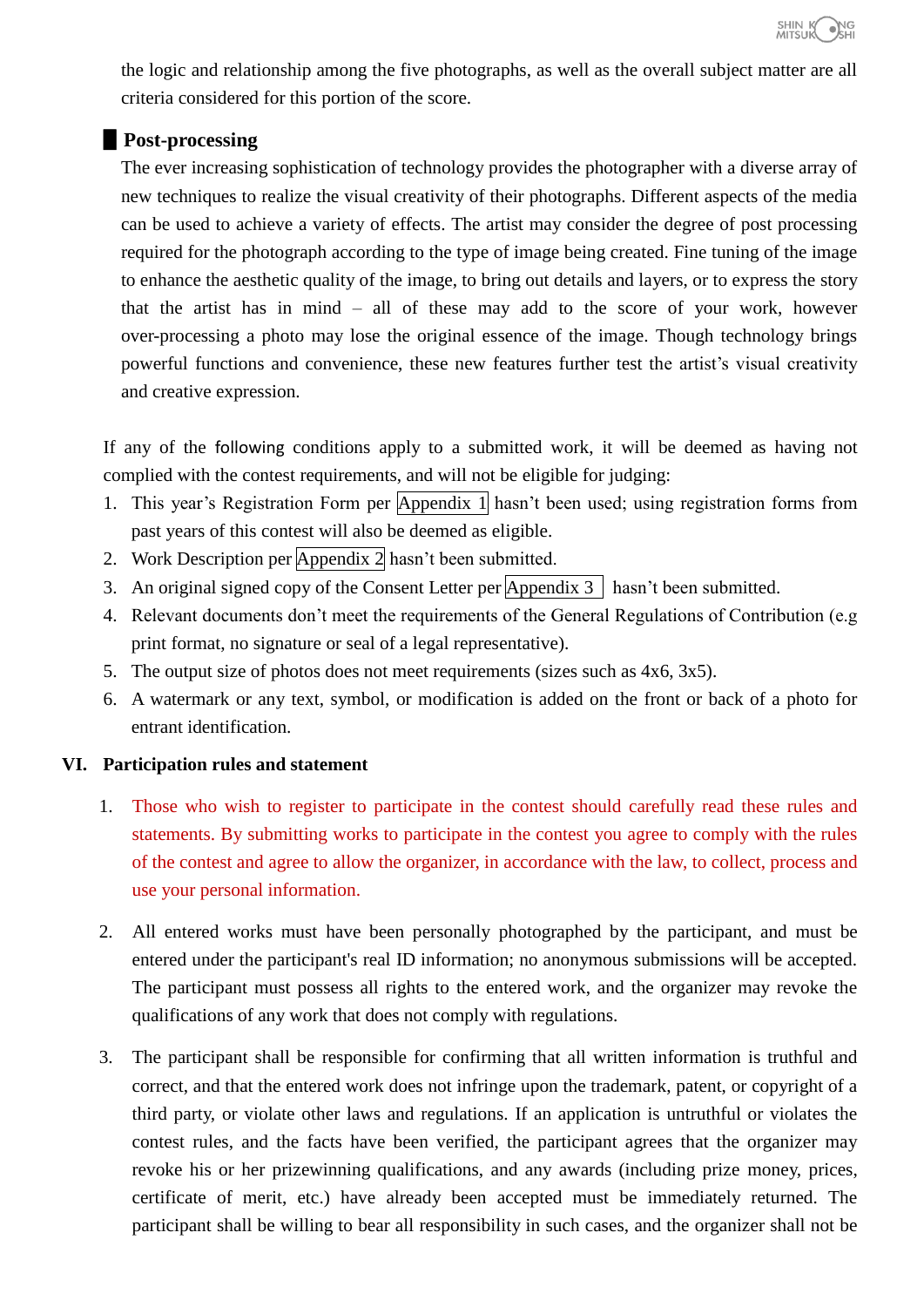

the logic and relationship among the five photographs, as well as the overall subject matter are all criteria considered for this portion of the score.

### ▋**Post-processing**

The ever increasing sophistication of technology provides the photographer with a diverse array of new techniques to realize the visual creativity of their photographs. Different aspects of the media can be used to achieve a variety of effects. The artist may consider the degree of post processing required for the photograph according to the type of image being created. Fine tuning of the image to enhance the aesthetic quality of the image, to bring out details and layers, or to express the story that the artist has in mind – all of these may add to the score of your work, however over-processing a photo may lose the original essence of the image. Though technology brings powerful functions and convenience, these new features further test the artist's visual creativity and creative expression.

If any of the following conditions apply to a submitted work, it will be deemed as having not complied with the contest requirements, and will not be eligible for judging:

- 1. This year's Registration Form per Appendix 1 hasn't been used; using registration forms from past years of this contest will also be deemed as eligible.
- 2. Work Description per Appendix 2 hasn't been submitted.
- 3. An original signed copy of the Consent Letter per  $\overline{Appendix 3}$  hasn't been submitted.
- 4. Relevant documents don't meet the requirements of the General Regulations of Contribution (e.g print format, no signature or seal of a legal representative).
- 5. The output size of photos does not meet requirements (sizes such as 4x6, 3x5).
- 6. A watermark or any text, symbol, or modification is added on the front or back of a photo for entrant identification.

### **VI. Participation rules and statement**

- 1. Those who wish to register to participate in the contest should carefully read these rules and statements. By submitting works to participate in the contest you agree to comply with the rules of the contest and agree to allow the organizer, in accordance with the law, to collect, process and use your personal information.
- 2. All entered works must have been personally photographed by the participant, and must be entered under the participant's real ID information; no anonymous submissions will be accepted. The participant must possess all rights to the entered work, and the organizer may revoke the qualifications of any work that does not comply with regulations.
- 3. The participant shall be responsible for confirming that all written information is truthful and correct, and that the entered work does not infringe upon the trademark, patent, or copyright of a third party, or violate other laws and regulations. If an application is untruthful or violates the contest rules, and the facts have been verified, the participant agrees that the organizer may revoke his or her prizewinning qualifications, and any awards (including prize money, prices, certificate of merit, etc.) have already been accepted must be immediately returned. The participant shall be willing to bear all responsibility in such cases, and the organizer shall not be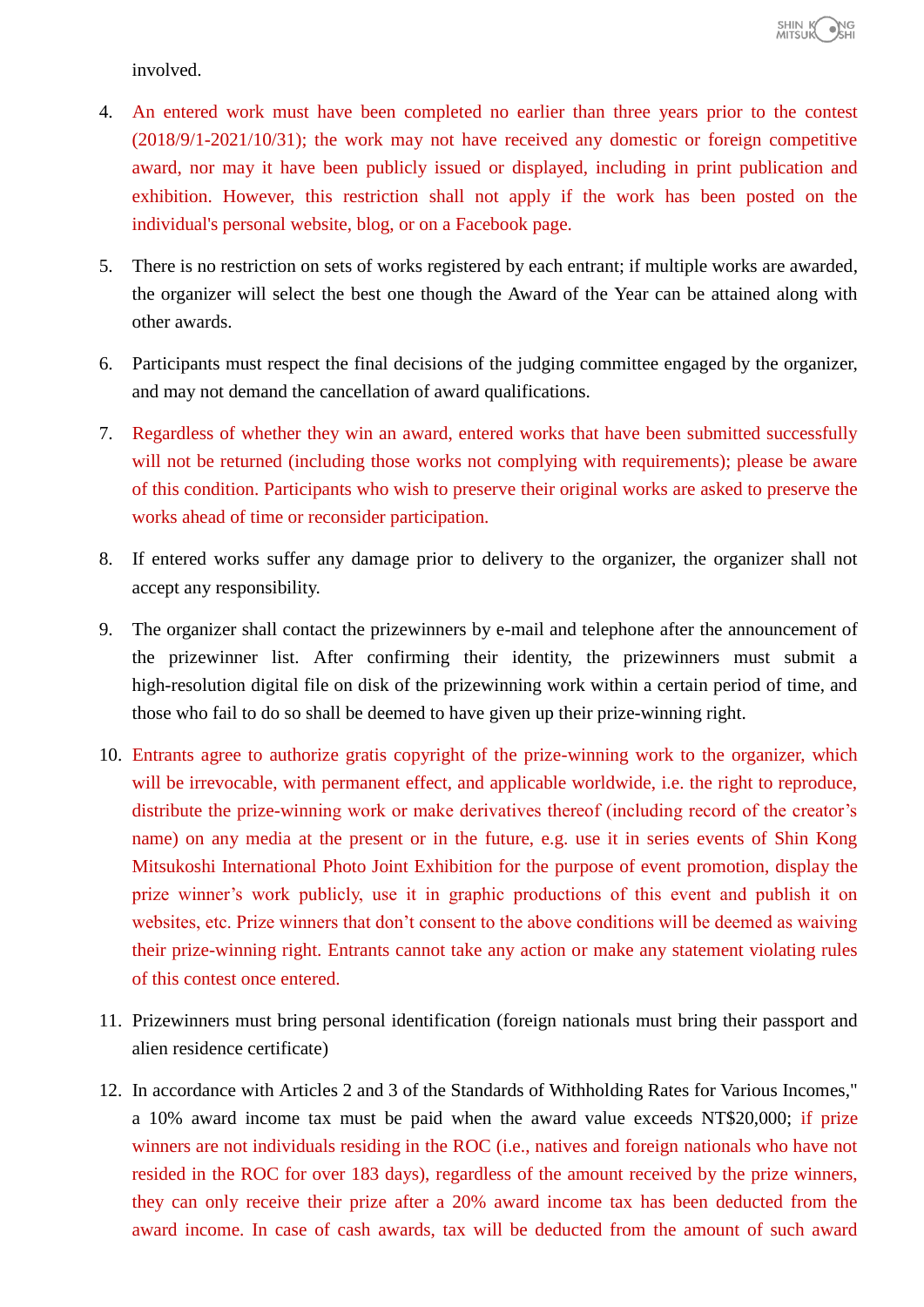involved.

- 4. An entered work must have been completed no earlier than three years prior to the contest (2018/9/1-2021/10/31); the work may not have received any domestic or foreign competitive award, nor may it have been publicly issued or displayed, including in print publication and exhibition. However, this restriction shall not apply if the work has been posted on the individual's personal website, blog, or on a Facebook page.
- 5. There is no restriction on sets of works registered by each entrant; if multiple works are awarded, the organizer will select the best one though the Award of the Year can be attained along with other awards.
- 6. Participants must respect the final decisions of the judging committee engaged by the organizer, and may not demand the cancellation of award qualifications.
- 7. Regardless of whether they win an award, entered works that have been submitted successfully will not be returned (including those works not complying with requirements); please be aware of this condition. Participants who wish to preserve their original works are asked to preserve the works ahead of time or reconsider participation.
- 8. If entered works suffer any damage prior to delivery to the organizer, the organizer shall not accept any responsibility.
- 9. The organizer shall contact the prizewinners by e-mail and telephone after the announcement of the prizewinner list. After confirming their identity, the prizewinners must submit a high-resolution digital file on disk of the prizewinning work within a certain period of time, and those who fail to do so shall be deemed to have given up their prize-winning right.
- 10. Entrants agree to authorize gratis copyright of the prize-winning work to the organizer, which will be irrevocable, with permanent effect, and applicable worldwide, i.e. the right to reproduce, distribute the prize-winning work or make derivatives thereof (including record of the creator's name) on any media at the present or in the future, e.g. use it in series events of Shin Kong Mitsukoshi International Photo Joint Exhibition for the purpose of event promotion, display the prize winner's work publicly, use it in graphic productions of this event and publish it on websites, etc. Prize winners that don't consent to the above conditions will be deemed as waiving their prize-winning right. Entrants cannot take any action or make any statement violating rules of this contest once entered.
- 11. Prizewinners must bring personal identification (foreign nationals must bring their passport and alien residence certificate)
- 12. In accordance with Articles 2 and 3 of the Standards of Withholding Rates for Various Incomes," a 10% award income tax must be paid when the award value exceeds NT\$20,000; if prize winners are not individuals residing in the ROC (i.e., natives and foreign nationals who have not resided in the ROC for over 183 days), regardless of the amount received by the prize winners, they can only receive their prize after a 20% award income tax has been deducted from the award income. In case of cash awards, tax will be deducted from the amount of such award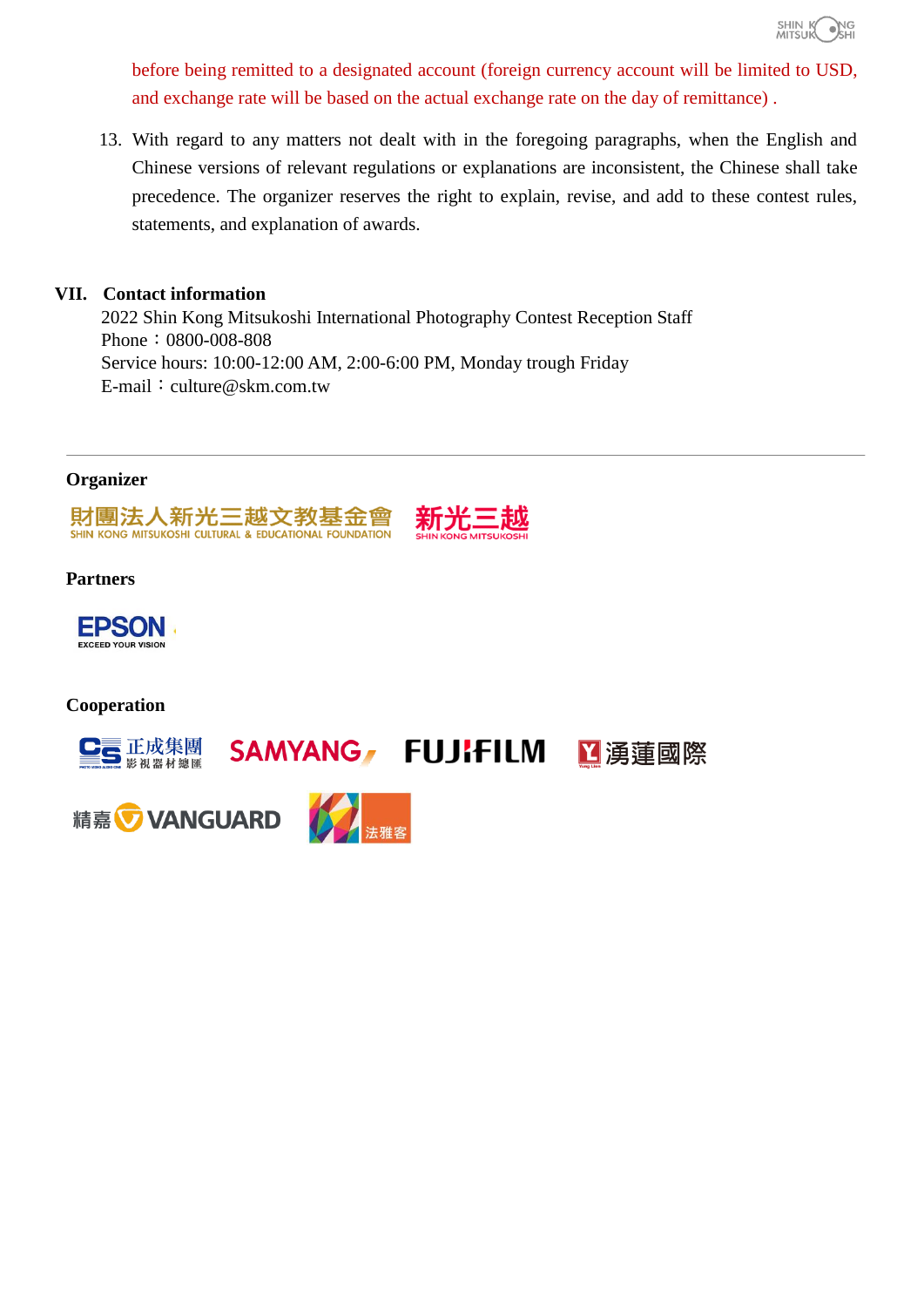

before being remitted to a designated account (foreign currency account will be limited to USD, and exchange rate will be based on the actual exchange rate on the day of remittance) .

13. With regard to any matters not dealt with in the foregoing paragraphs, when the English and Chinese versions of relevant regulations or explanations are inconsistent, the Chinese shall take precedence. The organizer reserves the right to explain, revise, and add to these contest rules, statements, and explanation of awards.

#### **VII. Contact information**

2022 Shin Kong Mitsukoshi International Photography Contest Reception Staff Phone: 0800-008-808 Service hours: 10:00-12:00 AM, 2:00-6:00 PM, Monday trough Friday E-mail: culture@skm.com.tw

#### **Organizer**



#### **Partners**



#### **Cooperation**

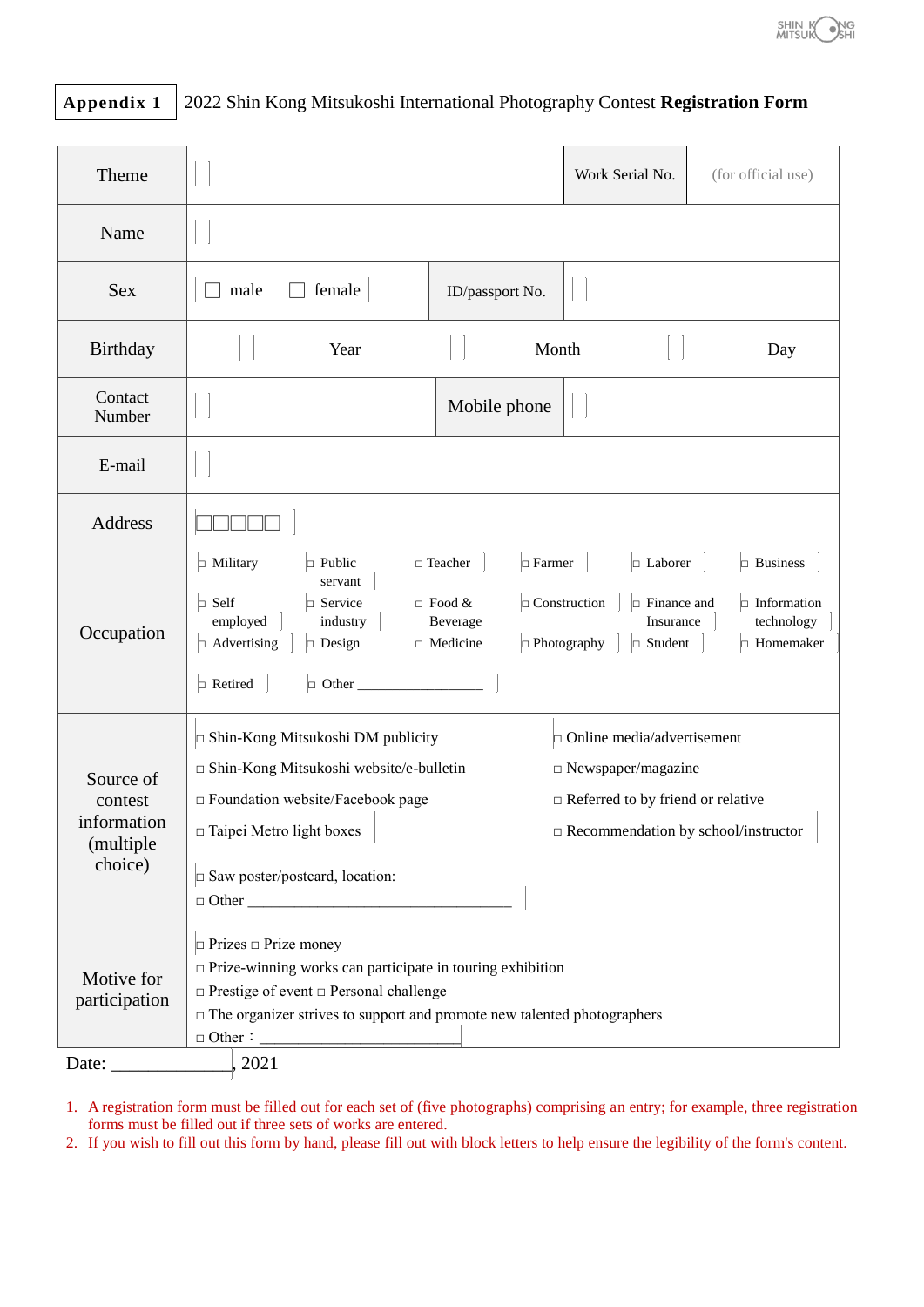

# **Appendix 1** 2022 Shin Kong Mitsukoshi International Photography Contest **Registration Form**

| Theme                                                        |                                                                                                                                                                                                                                                                                                                                                                                                                                                                 | Work Serial No.                                                                                                                                             | (for official use) |     |  |  |  |
|--------------------------------------------------------------|-----------------------------------------------------------------------------------------------------------------------------------------------------------------------------------------------------------------------------------------------------------------------------------------------------------------------------------------------------------------------------------------------------------------------------------------------------------------|-------------------------------------------------------------------------------------------------------------------------------------------------------------|--------------------|-----|--|--|--|
| Name                                                         |                                                                                                                                                                                                                                                                                                                                                                                                                                                                 |                                                                                                                                                             |                    |     |  |  |  |
| <b>Sex</b>                                                   | female<br>male                                                                                                                                                                                                                                                                                                                                                                                                                                                  | ID/passport No.                                                                                                                                             |                    |     |  |  |  |
| Birthday                                                     | Year                                                                                                                                                                                                                                                                                                                                                                                                                                                            | Month                                                                                                                                                       |                    | Day |  |  |  |
| Contact<br>Number                                            |                                                                                                                                                                                                                                                                                                                                                                                                                                                                 | Mobile phone                                                                                                                                                |                    |     |  |  |  |
| E-mail                                                       |                                                                                                                                                                                                                                                                                                                                                                                                                                                                 |                                                                                                                                                             |                    |     |  |  |  |
| Address                                                      |                                                                                                                                                                                                                                                                                                                                                                                                                                                                 |                                                                                                                                                             |                    |     |  |  |  |
| Occupation                                                   | $\Box$ Teacher<br>$\Box$ Farmer<br>$\Box$ Laborer<br>$\Box$ Business<br>$\Box$ Military<br>$\Box$ Public<br>servant<br>$\Box$ Food &<br>$\Box$ Construction<br>$\Box$ Self<br>$\Box$ Finance and<br>$\Box$ Information<br>$\Box$ Service<br>employed<br>Beverage<br>Insurance<br>technology<br>industry<br>$\Box$ Medicine<br>$\Box$ Photography<br>$\Box$ Advertising<br>$\Box$ Design<br>$\Box$ Student<br>$\Box$ Homemaker<br>$\Box$ Other<br>$\Box$ Retired |                                                                                                                                                             |                    |     |  |  |  |
| Source of<br>contest<br>information<br>(multiple)<br>choice) | □ Shin-Kong Mitsukoshi DM publicity<br>□ Shin-Kong Mitsukoshi website/e-bulletin<br>$\square$ Foundation website/Facebook page<br>$\square$ Taipei Metro light boxes<br>Saw poster/postcard, location:                                                                                                                                                                                                                                                          | $\Box$ Online media/advertisement<br>$\Box$ Newspaper/magazine<br>$\Box$ Referred to by friend or relative<br>$\square$ Recommendation by school/instructor |                    |     |  |  |  |
| Motive for<br>participation<br>Date:                         | $\Box$ Prizes $\Box$ Prize money<br>$\Box$<br>Prize-winning works can participate in touring exhibition<br>$\Box$ Prestige of event $\Box$ Personal challenge<br>$\Box$ The organizer strives to support and promote new talented photographers<br>2021                                                                                                                                                                                                         |                                                                                                                                                             |                    |     |  |  |  |

1. A registration form must be filled out for each set of (five photographs) comprising an entry; for example, three registration forms must be filled out if three sets of works are entered.

2. If you wish to fill out this form by hand, please fill out with block letters to help ensure the legibility of the form's content.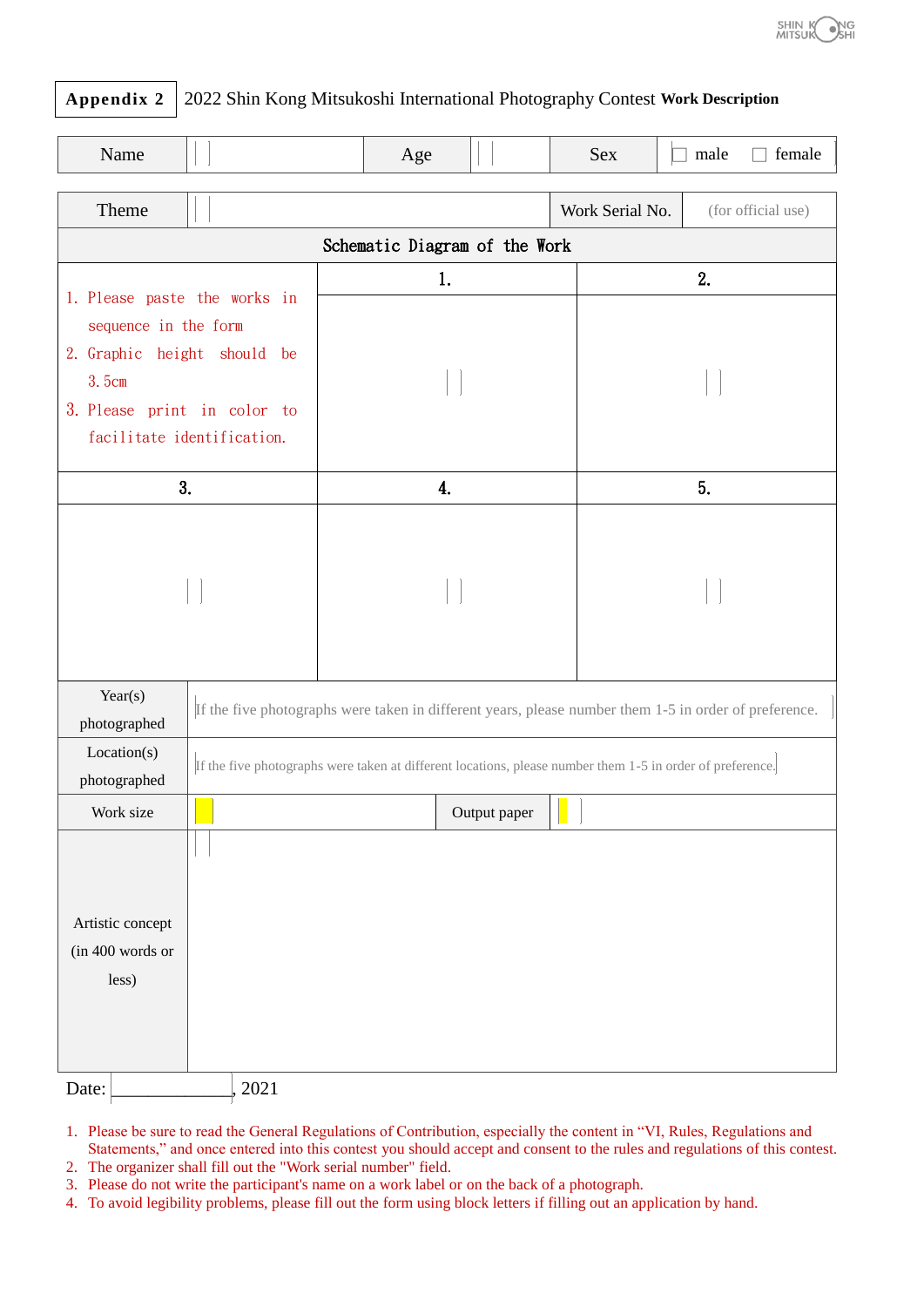

### **Appendix 2** 2022 Shin Kong Mitsukoshi International Photography Contest **Work Description**

| Name                                                      |                                                                                                           |    | Age |              | Sex             | female<br>male     |  |
|-----------------------------------------------------------|-----------------------------------------------------------------------------------------------------------|----|-----|--------------|-----------------|--------------------|--|
| Theme                                                     |                                                                                                           |    |     |              | Work Serial No. | (for official use) |  |
| Schematic Diagram of the Work                             |                                                                                                           |    |     |              |                 |                    |  |
| 1. Please paste the works in<br>sequence in the form      |                                                                                                           | 1. |     |              | 2.              |                    |  |
| 2. Graphic height should be<br>3.5cm                      |                                                                                                           |    |     |              |                 |                    |  |
| 3. Please print in color to<br>facilitate identification. |                                                                                                           |    |     |              |                 |                    |  |
| 3.                                                        |                                                                                                           | 4. |     |              | 5.              |                    |  |
|                                                           |                                                                                                           |    |     |              |                 |                    |  |
| Year(s)<br>photographed                                   | If the five photographs were taken in different years, please number them 1-5 in order of preference.     |    |     |              |                 |                    |  |
| Location(s)<br>photographed                               | If the five photographs were taken at different locations, please number them 1-5 in order of preference. |    |     |              |                 |                    |  |
| Work size                                                 |                                                                                                           |    |     | Output paper |                 |                    |  |
| Artistic concept<br>(in 400 words or<br>less)<br>Date:    | 2021                                                                                                      |    |     |              |                 |                    |  |

- 1. Please be sure to read the General Regulations of Contribution, especially the content in "VI, Rules, Regulations and Statements," and once entered into this contest you should accept and consent to the rules and regulations of this contest.
- 2. The organizer shall fill out the "Work serial number" field.
- 3. Please do not write the participant's name on a work label or on the back of a photograph.
- 4. To avoid legibility problems, please fill out the form using block letters if filling out an application by hand.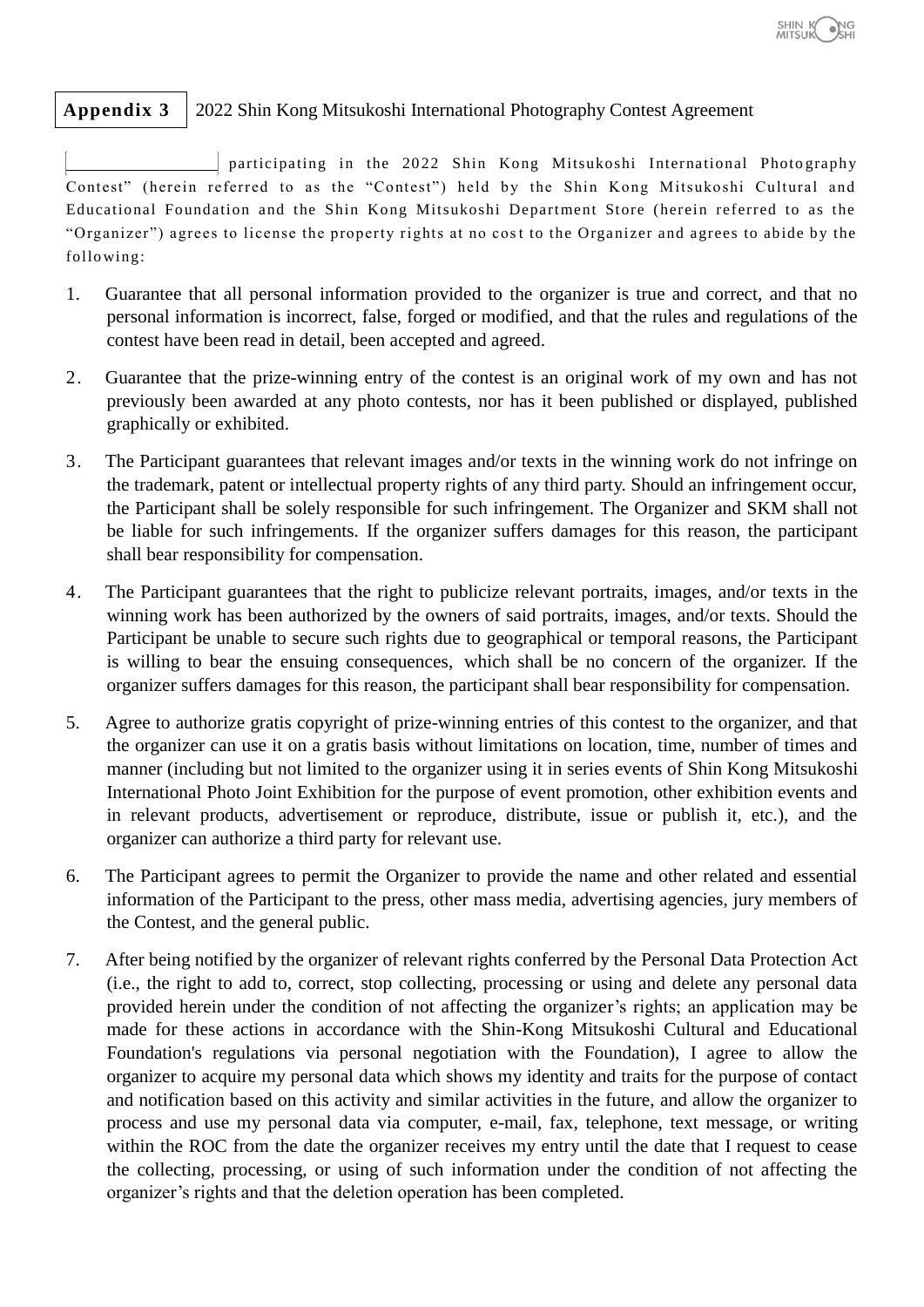# **Appendix 3** 2022 Shin Kong Mitsukoshi International Photography Contest Agreement

participating in the 2022 Shin Kong Mitsukoshi International Photography Contest" (herein referred to as the "Contest") held by the Shin Kong Mitsukoshi Cultural and Educational Foundation and the Shin Kong Mitsukoshi Department Store (herein referred to as the "Organizer") agrees to license the property rights at no cost to the Organizer and agrees to abide by the follo wing:

- 1. Guarantee that all personal information provided to the organizer is true and correct, and that no personal information is incorrect, false, forged or modified, and that the rules and regulations of the contest have been read in detail, been accepted and agreed.
- 2. Guarantee that the prize-winning entry of the contest is an original work of my own and has not previously been awarded at any photo contests, nor has it been published or displayed, published graphically or exhibited.
- 3. The Participant guarantees that relevant images and/or texts in the winning work do not infringe on the trademark, patent or intellectual property rights of any third party. Should an infringement occur, the Participant shall be solely responsible for such infringement. The Organizer and SKM shall not be liable for such infringements. If the organizer suffers damages for this reason, the participant shall bear responsibility for compensation.
- 4. The Participant guarantees that the right to publicize relevant portraits, images, and/or texts in the winning work has been authorized by the owners of said portraits, images, and/or texts. Should the Participant be unable to secure such rights due to geographical or temporal reasons, the Participant is willing to bear the ensuing consequences, which shall be no concern of the organizer. If the organizer suffers damages for this reason, the participant shall bear responsibility for compensation.
- 5. Agree to authorize gratis copyright of prize-winning entries of this contest to the organizer, and that the organizer can use it on a gratis basis without limitations on location, time, number of times and manner (including but not limited to the organizer using it in series events of Shin Kong Mitsukoshi International Photo Joint Exhibition for the purpose of event promotion, other exhibition events and in relevant products, advertisement or reproduce, distribute, issue or publish it, etc.), and the organizer can authorize a third party for relevant use.
- 6. The Participant agrees to permit the Organizer to provide the name and other related and essential information of the Participant to the press, other mass media, advertising agencies, jury members of the Contest, and the general public.
- 7. After being notified by the organizer of relevant rights conferred by the Personal Data Protection Act (i.e., the right to add to, correct, stop collecting, processing or using and delete any personal data provided herein under the condition of not affecting the organizer's rights; an application may be made for these actions in accordance with the Shin-Kong Mitsukoshi Cultural and Educational Foundation's regulations via personal negotiation with the Foundation), I agree to allow the organizer to acquire my personal data which shows my identity and traits for the purpose of contact and notification based on this activity and similar activities in the future, and allow the organizer to process and use my personal data via computer, e-mail, fax, telephone, text message, or writing within the ROC from the date the organizer receives my entry until the date that I request to cease the collecting, processing, or using of such information under the condition of not affecting the organizer's rights and that the deletion operation has been completed.